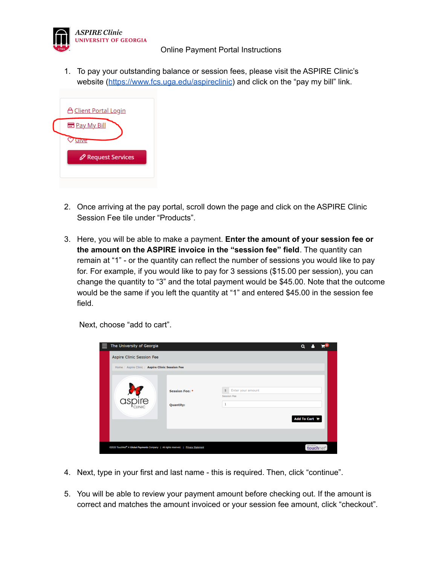

1. To pay your outstanding balance or session fees, please visit the ASPIRE Clinic's website (<https://www.fcs.uga.edu/aspireclinic>) and click on the "pay my bill" link.



- 2. Once arriving at the pay portal, scroll down the page and click on the ASPIRE Clinic Session Fee tile under "Products".
- 3. Here, you will be able to make a payment. **Enter the amount of your session fee or the amount on the ASPIRE invoice in the "session fee" field**. The quantity can remain at "1" - or the quantity can reflect the number of sessions you would like to pay for. For example, if you would like to pay for 3 sessions (\$15.00 per session), you can change the quantity to "3" and the total payment would be \$45.00. Note that the outcome would be the same if you left the quantity at "1" and entered \$45.00 in the session fee field.

Next, choose "add to cart".

|  | The University of Georgia                                                                        |                             |                                                                          | Q             |           |  |
|--|--------------------------------------------------------------------------------------------------|-----------------------------|--------------------------------------------------------------------------|---------------|-----------|--|
|  | Aspire Clinic Session Fee                                                                        |                             |                                                                          |               |           |  |
|  | Home / Aspire Clinic / Aspire Clinic Session Fee                                                 |                             |                                                                          |               |           |  |
|  |                                                                                                  | Session Fee: *<br>Quantity: | Enter your amount<br>$\frac{4}{3}$<br><b>Session Fee</b><br>$\mathbf{1}$ | Add To Cart 官 |           |  |
|  | @2020 TouchNet <sup>®</sup> A Global Payments Company   All rights reserved.   Privacy Statement |                             |                                                                          |               | touchnet' |  |

- 4. Next, type in your first and last name this is required. Then, click "continue".
- 5. You will be able to review your payment amount before checking out. If the amount is correct and matches the amount invoiced or your session fee amount, click "checkout".